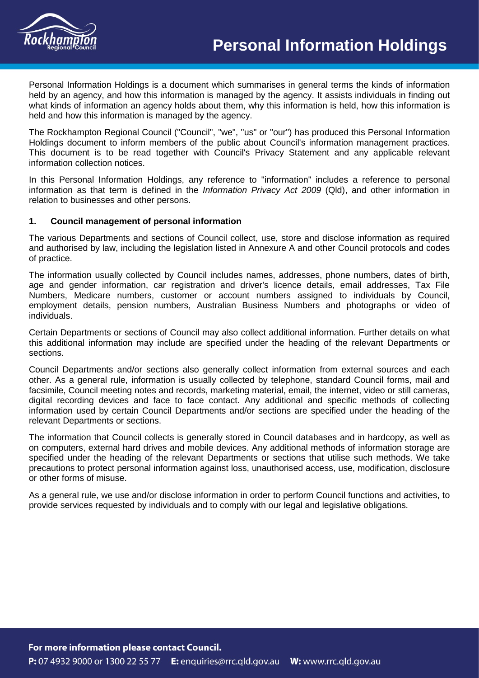

Personal Information Holdings is a document which summarises in general terms the kinds of information held by an agency, and how this information is managed by the agency. It assists individuals in finding out what kinds of information an agency holds about them, why this information is held, how this information is held and how this information is managed by the agency.

The Rockhampton Regional Council ("Council", "we", "us" or "our") has produced this Personal Information Holdings document to inform members of the public about Council's information management practices. This document is to be read together with Council's Privacy Statement and any applicable relevant information collection notices.

In this Personal Information Holdings, any reference to "information" includes a reference to personal information as that term is defined in the *Information Privacy Act 2009* (Qld), and other information in relation to businesses and other persons.

## **1. Council management of personal information**

The various Departments and sections of Council collect, use, store and disclose information as required and authorised by law, including the legislation listed in Annexure A and other Council protocols and codes of practice.

The information usually collected by Council includes names, addresses, phone numbers, dates of birth, age and gender information, car registration and driver's licence details, email addresses, Tax File Numbers, Medicare numbers, customer or account numbers assigned to individuals by Council, employment details, pension numbers, Australian Business Numbers and photographs or video of individuals.

Certain Departments or sections of Council may also collect additional information. Further details on what this additional information may include are specified under the heading of the relevant Departments or sections.

Council Departments and/or sections also generally collect information from external sources and each other. As a general rule, information is usually collected by telephone, standard Council forms, mail and facsimile, Council meeting notes and records, marketing material, email, the internet, video or still cameras, digital recording devices and face to face contact. Any additional and specific methods of collecting information used by certain Council Departments and/or sections are specified under the heading of the relevant Departments or sections.

The information that Council collects is generally stored in Council databases and in hardcopy, as well as on computers, external hard drives and mobile devices. Any additional methods of information storage are specified under the heading of the relevant Departments or sections that utilise such methods. We take precautions to protect personal information against loss, unauthorised access, use, modification, disclosure or other forms of misuse.

As a general rule, we use and/or disclose information in order to perform Council functions and activities, to provide services requested by individuals and to comply with our legal and legislative obligations.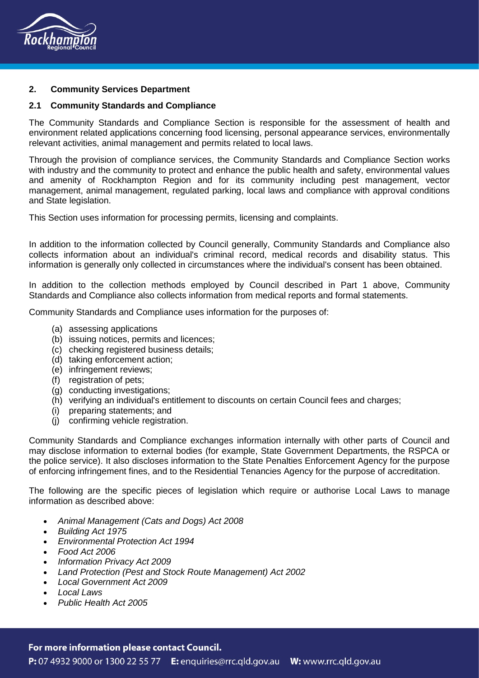

## **2. Community Services Department**

#### **2.1 Community Standards and Compliance**

The Community Standards and Compliance Section is responsible for the assessment of health and environment related applications concerning food licensing, personal appearance services, environmentally relevant activities, animal management and permits related to local laws.

Through the provision of compliance services, the Community Standards and Compliance Section works with industry and the community to protect and enhance the public health and safety, environmental values and amenity of Rockhampton Region and for its community including pest management, vector management, animal management, regulated parking, local laws and compliance with approval conditions and State legislation.

This Section uses information for processing permits, licensing and complaints.

In addition to the information collected by Council generally, Community Standards and Compliance also collects information about an individual's criminal record, medical records and disability status. This information is generally only collected in circumstances where the individual's consent has been obtained.

In addition to the collection methods employed by Council described in Part 1 above, Community Standards and Compliance also collects information from medical reports and formal statements.

Community Standards and Compliance uses information for the purposes of:

- (a) assessing applications
- (b) issuing notices, permits and licences;
- (c) checking registered business details;
- (d) taking enforcement action;
- (e) infringement reviews;
- (f) registration of pets;
- (g) conducting investigations;
- (h) verifying an individual's entitlement to discounts on certain Council fees and charges;
- (i) preparing statements; and
- (j) confirming vehicle registration.

Community Standards and Compliance exchanges information internally with other parts of Council and may disclose information to external bodies (for example, State Government Departments, the RSPCA or the police service). It also discloses information to the State Penalties Enforcement Agency for the purpose of enforcing infringement fines, and to the Residential Tenancies Agency for the purpose of accreditation.

The following are the specific pieces of legislation which require or authorise Local Laws to manage information as described above:

- *Animal Management (Cats and Dogs) Act 2008*
- *Building Act 1975*
- *Environmental Protection Act 1994*
- *Food Act 2006*
- *Information Privacy Act 2009*
- *Land Protection (Pest and Stock Route Management) Act 2002*
- *Local Government Act 2009*
- *Local Laws*
- *Public Health Act 2005*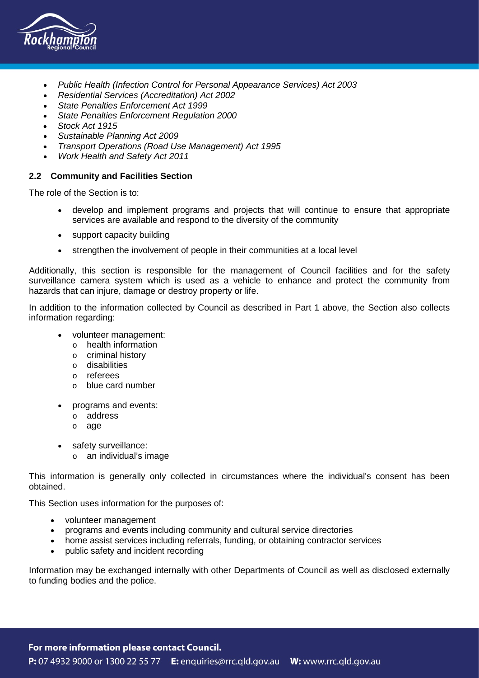

- *Public Health (Infection Control for Personal Appearance Services) Act 2003*
- *Residential Services (Accreditation) Act 2002*
- *State Penalties Enforcement Act 1999*
- *State Penalties Enforcement Regulation 2000*
- *Stock Act 1915*
- *Sustainable Planning Act 2009*
- *Transport Operations (Road Use Management) Act 1995*
- *Work Health and Safety Act 2011*

### **2.2 Community and Facilities Section**

The role of the Section is to:

- develop and implement programs and projects that will continue to ensure that appropriate services are available and respond to the diversity of the community
- support capacity building
- strengthen the involvement of people in their communities at a local level

Additionally, this section is responsible for the management of Council facilities and for the safety surveillance camera system which is used as a vehicle to enhance and protect the community from hazards that can injure, damage or destroy property or life.

In addition to the information collected by Council as described in Part 1 above, the Section also collects information regarding:

- volunteer management:
	- o health information
	- o criminal history
	- o disabilities
	- o referees
	- o blue card number
- programs and events:
	- o address
	- o age
- safety surveillance:
	- o an individual's image

This information is generally only collected in circumstances where the individual's consent has been obtained.

This Section uses information for the purposes of:

- volunteer management
- programs and events including community and cultural service directories
- home assist services including referrals, funding, or obtaining contractor services
- public safety and incident recording

Information may be exchanged internally with other Departments of Council as well as disclosed externally to funding bodies and the police.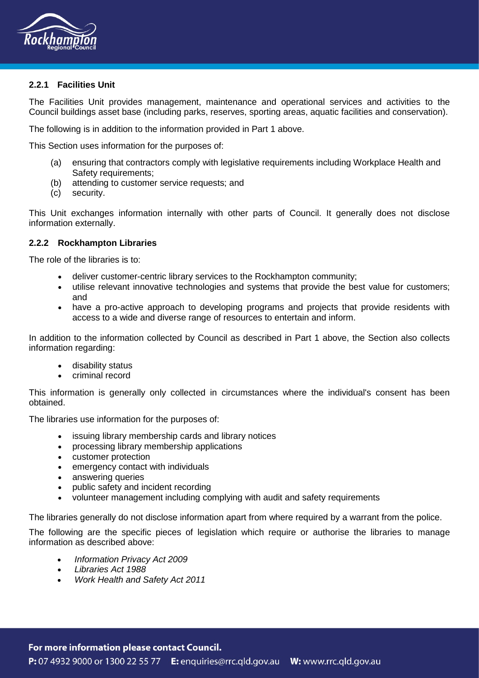

# **2.2.1 Facilities Unit**

The Facilities Unit provides management, maintenance and operational services and activities to the Council buildings asset base (including parks, reserves, sporting areas, aquatic facilities and conservation).

The following is in addition to the information provided in Part 1 above.

This Section uses information for the purposes of:

- (a) ensuring that contractors comply with legislative requirements including Workplace Health and Safety requirements:
- (b) attending to customer service requests; and
- (c) security.

This Unit exchanges information internally with other parts of Council. It generally does not disclose information externally.

## **2.2.2 Rockhampton Libraries**

The role of the libraries is to:

- deliver customer-centric library services to the Rockhampton community;
- utilise relevant innovative technologies and systems that provide the best value for customers; and
- have a pro-active approach to developing programs and projects that provide residents with access to a wide and diverse range of resources to entertain and inform.

In addition to the information collected by Council as described in Part 1 above, the Section also collects information regarding:

- disability status
- criminal record

This information is generally only collected in circumstances where the individual's consent has been obtained.

The libraries use information for the purposes of:

- issuing library membership cards and library notices
- processing library membership applications
- customer protection
- emergency contact with individuals
- answering queries
- public safety and incident recording
- volunteer management including complying with audit and safety requirements

The libraries generally do not disclose information apart from where required by a warrant from the police.

The following are the specific pieces of legislation which require or authorise the libraries to manage information as described above:

- *Information Privacy Act 2009*
- *Libraries Act 1988*
- *Work Health and Safety Act 2011*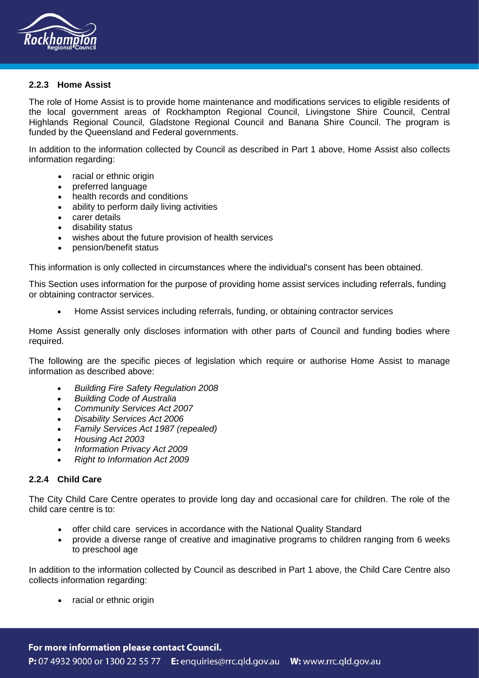

## **2.2.3 Home Assist**

The role of Home Assist is to provide home maintenance and modifications services to eligible residents of the local government areas of Rockhampton Regional Council, Livingstone Shire Council, Central Highlands Regional Council, Gladstone Regional Council and Banana Shire Council. The program is funded by the Queensland and Federal governments.

In addition to the information collected by Council as described in Part 1 above, Home Assist also collects information regarding:

- racial or ethnic origin
- preferred language
- health records and conditions
- ability to perform daily living activities
- carer details
- disability status
- wishes about the future provision of health services
- pension/benefit status

This information is only collected in circumstances where the individual's consent has been obtained.

This Section uses information for the purpose of providing home assist services including referrals, funding or obtaining contractor services.

• Home Assist services including referrals, funding, or obtaining contractor services

Home Assist generally only discloses information with other parts of Council and funding bodies where required.

The following are the specific pieces of legislation which require or authorise Home Assist to manage information as described above:

- *Building Fire Safety Regulation 2008*
- *Building Code of Australia*
- *Community Services Act 2007*
- *Disability Services Act 2006*
- *Family Services Act 1987 (repealed)*
- *Housing Act 2003*
- *Information Privacy Act 2009*
- *Right to Information Act 2009*

## **2.2.4 Child Care**

The City Child Care Centre operates to provide long day and occasional care for children. The role of the child care centre is to:

- offer child care services in accordance with the National Quality Standard
- provide a diverse range of creative and imaginative programs to children ranging from 6 weeks to preschool age

In addition to the information collected by Council as described in Part 1 above, the Child Care Centre also collects information regarding:

• racial or ethnic origin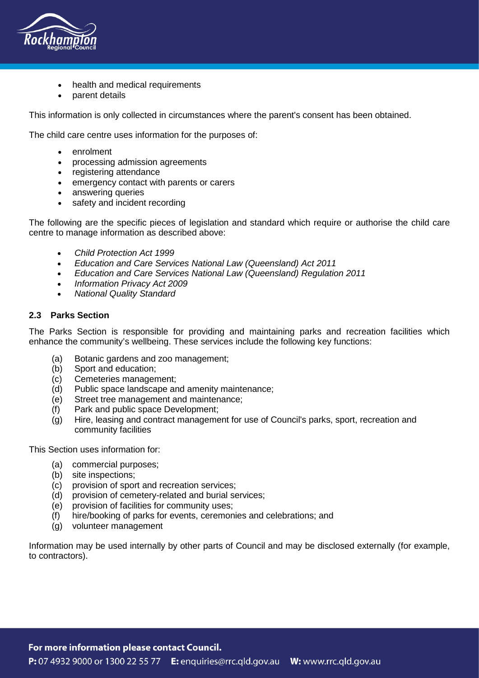

- health and medical requirements
- parent details

This information is only collected in circumstances where the parent's consent has been obtained.

The child care centre uses information for the purposes of:

- enrolment
- processing admission agreements
- registering attendance
- emergency contact with parents or carers
- answering queries
- safety and incident recording

The following are the specific pieces of legislation and standard which require or authorise the child care centre to manage information as described above:

- *Child Protection Act 1999*
- *Education and Care Services National Law (Queensland) Act 2011*
- *Education and Care Services National Law (Queensland) Regulation 2011*
- *Information Privacy Act 2009*
- *National Quality Standard*

# **2.3 Parks Section**

The Parks Section is responsible for providing and maintaining parks and recreation facilities which enhance the community's wellbeing. These services include the following key functions:

- (a) Botanic gardens and zoo management;
- (b) Sport and education;
- (c) Cemeteries management;
- (d) Public space landscape and amenity maintenance;
- (e) Street tree management and maintenance;
- (f) Park and public space Development;
- (g) Hire, leasing and contract management for use of Council's parks, sport, recreation and community facilities

This Section uses information for:

- (a) commercial purposes;
- (b) site inspections;
- (c) provision of sport and recreation services;
- (d) provision of cemetery-related and burial services;
- (e) provision of facilities for community uses;
- (f) hire/booking of parks for events, ceremonies and celebrations; and
- (g) volunteer management

Information may be used internally by other parts of Council and may be disclosed externally (for example, to contractors).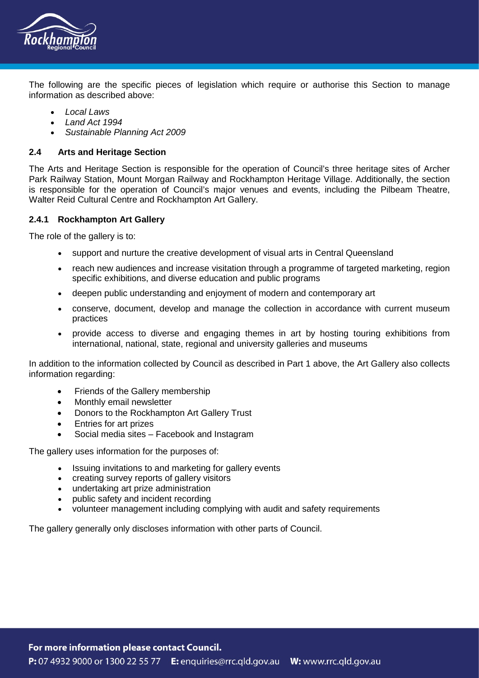

The following are the specific pieces of legislation which require or authorise this Section to manage information as described above:

- *Local Laws*
- *Land Act 1994*
- *Sustainable Planning Act 2009*

# **2.4 Arts and Heritage Section**

The Arts and Heritage Section is responsible for the operation of Council's three heritage sites of Archer Park Railway Station, Mount Morgan Railway and Rockhampton Heritage Village. Additionally, the section is responsible for the operation of Council's major venues and events, including the Pilbeam Theatre, Walter Reid Cultural Centre and Rockhampton Art Gallery.

## **2.4.1 Rockhampton Art Gallery**

The role of the gallery is to:

- support and nurture the creative development of visual arts in Central Queensland
- reach new audiences and increase visitation through a programme of targeted marketing, region specific exhibitions, and diverse education and public programs
- deepen public understanding and enjoyment of modern and contemporary art
- conserve, document, develop and manage the collection in accordance with current museum practices
- provide access to diverse and engaging themes in art by hosting touring exhibitions from international, national, state, regional and university galleries and museums

In addition to the information collected by Council as described in Part 1 above, the Art Gallery also collects information regarding:

- Friends of the Gallery membership
- Monthly email newsletter
- Donors to the Rockhampton Art Gallery Trust
- Entries for art prizes
- Social media sites Facebook and Instagram

The gallery uses information for the purposes of:

- Issuing invitations to and marketing for gallery events
- creating survey reports of gallery visitors
- undertaking art prize administration
- public safety and incident recording
- volunteer management including complying with audit and safety requirements

The gallery generally only discloses information with other parts of Council.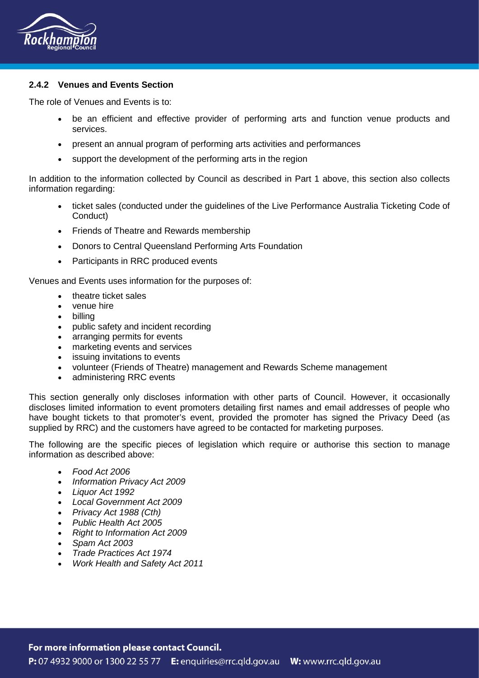

# **2.4.2 Venues and Events Section**

The role of Venues and Events is to:

- be an efficient and effective provider of performing arts and function venue products and services.
- present an annual program of performing arts activities and performances
- support the development of the performing arts in the region

In addition to the information collected by Council as described in Part 1 above, this section also collects information regarding:

- ticket sales (conducted under the guidelines of the Live Performance Australia Ticketing Code of Conduct)
- Friends of Theatre and Rewards membership
- Donors to Central Queensland Performing Arts Foundation
- Participants in RRC produced events

Venues and Events uses information for the purposes of:

- theatre ticket sales
- venue hire
- billing
- public safety and incident recording
- arranging permits for events
- marketing events and services
- issuing invitations to events
- volunteer (Friends of Theatre) management and Rewards Scheme management
- administering RRC events

This section generally only discloses information with other parts of Council. However, it occasionally discloses limited information to event promoters detailing first names and email addresses of people who have bought tickets to that promoter's event, provided the promoter has signed the Privacy Deed (as supplied by RRC) and the customers have agreed to be contacted for marketing purposes.

The following are the specific pieces of legislation which require or authorise this section to manage information as described above:

- *Food Act 2006*
- *Information Privacy Act 2009*
- *Liquor Act 1992*
- *Local Government Act 2009*
- *Privacy Act 1988 (Cth)*
- *Public Health Act 2005*
- *Right to Information Act 2009*
- *Spam Act 2003*
- *Trade Practices Act 1974*
- *Work Health and Safety Act 2011*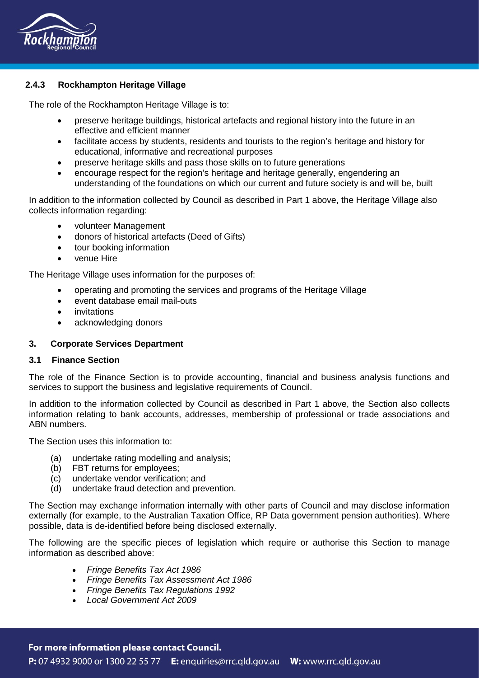

# **2.4.3 Rockhampton Heritage Village**

The role of the Rockhampton Heritage Village is to:

- preserve heritage buildings, historical artefacts and regional history into the future in an effective and efficient manner
- facilitate access by students, residents and tourists to the region's heritage and history for educational, informative and recreational purposes
- preserve heritage skills and pass those skills on to future generations
- encourage respect for the region's heritage and heritage generally, engendering an understanding of the foundations on which our current and future society is and will be, built

In addition to the information collected by Council as described in Part 1 above, the Heritage Village also collects information regarding:

- volunteer Management
- donors of historical artefacts (Deed of Gifts)
- tour booking information
- venue Hire

The Heritage Village uses information for the purposes of:

- operating and promoting the services and programs of the Heritage Village
- event database email mail-outs
- invitations
- acknowledging donors

#### **3. Corporate Services Department**

#### **3.1 Finance Section**

The role of the Finance Section is to provide accounting, financial and business analysis functions and services to support the business and legislative requirements of Council.

In addition to the information collected by Council as described in Part 1 above, the Section also collects information relating to bank accounts, addresses, membership of professional or trade associations and ABN numbers.

The Section uses this information to:

- (a) undertake rating modelling and analysis;
- (b) FBT returns for employees;
- (c) undertake vendor verification; and
- (d) undertake fraud detection and prevention.

The Section may exchange information internally with other parts of Council and may disclose information externally (for example, to the Australian Taxation Office, RP Data government pension authorities). Where possible, data is de-identified before being disclosed externally.

The following are the specific pieces of legislation which require or authorise this Section to manage information as described above:

- *Fringe Benefits Tax Act 1986*
- *Fringe Benefits Tax Assessment Act 1986*
- *Fringe Benefits Tax Regulations 1992*
- *Local Government Act 2009*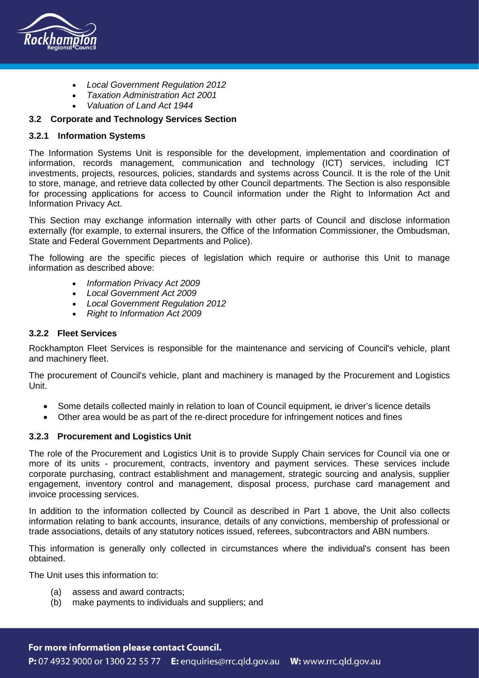

- *Local Government Regulation 2012*
- *Taxation Administration Act 2001*
- *Valuation of Land Act 1944*

# **3.2 Corporate and Technology Services Section**

### **3.2.1 Information Systems**

The Information Systems Unit is responsible for the development, implementation and coordination of information, records management, communication and technology (ICT) services, including ICT investments, projects, resources, policies, standards and systems across Council. It is the role of the Unit to store, manage, and retrieve data collected by other Council departments. The Section is also responsible for processing applications for access to Council information under the Right to Information Act and Information Privacy Act.

This Section may exchange information internally with other parts of Council and disclose information externally (for example, to external insurers, the Office of the Information Commissioner, the Ombudsman, State and Federal Government Departments and Police).

The following are the specific pieces of legislation which require or authorise this Unit to manage information as described above:

- *Information Privacy Act 2009*
- *Local Government Act 2009*
- *Local Government Regulation 2012*
- *Right to Information Act 2009*

## **3.2.2 Fleet Services**

Rockhampton Fleet Services is responsible for the maintenance and servicing of Council's vehicle, plant and machinery fleet.

The procurement of Council's vehicle, plant and machinery is managed by the Procurement and Logistics Unit.

- Some details collected mainly in relation to loan of Council equipment, ie driver's licence details
- Other area would be as part of the re-direct procedure for infringement notices and fines

## **3.2.3 Procurement and Logistics Unit**

The role of the Procurement and Logistics Unit is to provide Supply Chain services for Council via one or more of its units - procurement, contracts, inventory and payment services. These services include corporate purchasing, contract establishment and management, strategic sourcing and analysis, supplier engagement, inventory control and management, disposal process, purchase card management and invoice processing services.

In addition to the information collected by Council as described in Part 1 above, the Unit also collects information relating to bank accounts, insurance, details of any convictions, membership of professional or trade associations, details of any statutory notices issued, referees, subcontractors and ABN numbers.

This information is generally only collected in circumstances where the individual's consent has been obtained.

The Unit uses this information to:

- (a) assess and award contracts;
- (b) make payments to individuals and suppliers; and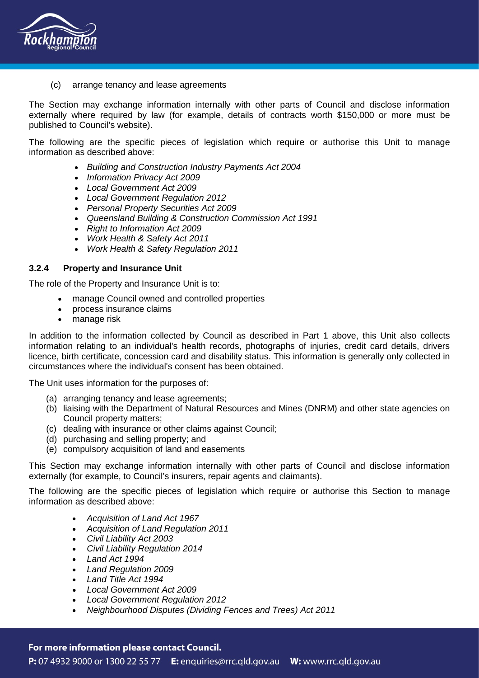

(c) arrange tenancy and lease agreements

The Section may exchange information internally with other parts of Council and disclose information externally where required by law (for example, details of contracts worth \$150,000 or more must be published to Council's website).

The following are the specific pieces of legislation which require or authorise this Unit to manage information as described above:

- *Building and Construction Industry Payments Act 2004*
- *Information Privacy Act 2009*
- *Local Government Act 2009*
- *Local Government Regulation 2012*
- *Personal Property Securities Act 2009*
- *Queensland Building & Construction Commission Act 1991*
- *Right to Information Act 2009*
- *Work Health & Safety Act 2011*
- *Work Health & Safety Regulation 2011*

### **3.2.4 Property and Insurance Unit**

The role of the Property and Insurance Unit is to:

- manage Council owned and controlled properties
- process insurance claims
- manage risk

In addition to the information collected by Council as described in Part 1 above, this Unit also collects information relating to an individual's health records, photographs of injuries, credit card details, drivers licence, birth certificate, concession card and disability status. This information is generally only collected in circumstances where the individual's consent has been obtained.

The Unit uses information for the purposes of:

- (a) arranging tenancy and lease agreements;
- (b) liaising with the Department of Natural Resources and Mines (DNRM) and other state agencies on Council property matters;
- (c) dealing with insurance or other claims against Council;
- (d) purchasing and selling property; and
- (e) compulsory acquisition of land and easements

This Section may exchange information internally with other parts of Council and disclose information externally (for example, to Council's insurers, repair agents and claimants).

The following are the specific pieces of legislation which require or authorise this Section to manage information as described above:

- *Acquisition of Land Act 1967*
- *Acquisition of Land Regulation 2011*
- *Civil Liability Act 2003*
- *Civil Liability Regulation 2014*
- *Land Act 1994*
- *Land Regulation 2009*
- *Land Title Act 1994*
- *Local Government Act 2009*
- *Local Government Regulation 2012*
- *Neighbourhood Disputes (Dividing Fences and Trees) Act 2011*

# For more information please contact Council.

P: 07 4932 9000 or 1300 22 55 77 E: enquiries@rrc.qld.gov.au W: www.rrc.qld.gov.au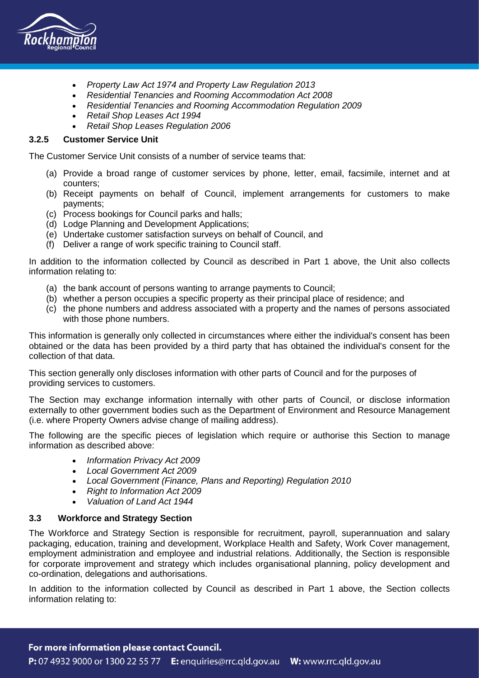

- *Property Law Act 1974 and Property Law Regulation 2013*
- *Residential Tenancies and Rooming Accommodation Act 2008*
- *Residential Tenancies and Rooming Accommodation Regulation 2009*
- *Retail Shop Leases Act 1994*
- *Retail Shop Leases Regulation 2006*

# **3.2.5 Customer Service Unit**

The Customer Service Unit consists of a number of service teams that:

- (a) Provide a broad range of customer services by phone, letter, email, facsimile, internet and at counters;
- (b) Receipt payments on behalf of Council, implement arrangements for customers to make payments;
- (c) Process bookings for Council parks and halls;
- (d) Lodge Planning and Development Applications;
- (e) Undertake customer satisfaction surveys on behalf of Council, and
- (f) Deliver a range of work specific training to Council staff.

In addition to the information collected by Council as described in Part 1 above, the Unit also collects information relating to:

- (a) the bank account of persons wanting to arrange payments to Council;
- (b) whether a person occupies a specific property as their principal place of residence; and
- (c) the phone numbers and address associated with a property and the names of persons associated with those phone numbers.

This information is generally only collected in circumstances where either the individual's consent has been obtained or the data has been provided by a third party that has obtained the individual's consent for the collection of that data.

This section generally only discloses information with other parts of Council and for the purposes of providing services to customers.

The Section may exchange information internally with other parts of Council, or disclose information externally to other government bodies such as the Department of Environment and Resource Management (i.e. where Property Owners advise change of mailing address).

The following are the specific pieces of legislation which require or authorise this Section to manage information as described above:

- *Information Privacy Act 2009*
- *Local Government Act 2009*
- *Local Government (Finance, Plans and Reporting) Regulation 2010*
- *Right to Information Act 2009*
- *Valuation of Land Act 1944*

## **3.3 Workforce and Strategy Section**

The Workforce and Strategy Section is responsible for recruitment, payroll, superannuation and salary packaging, education, training and development, Workplace Health and Safety, Work Cover management, employment administration and employee and industrial relations. Additionally, the Section is responsible for corporate improvement and strategy which includes organisational planning, policy development and co-ordination, delegations and authorisations.

In addition to the information collected by Council as described in Part 1 above, the Section collects information relating to: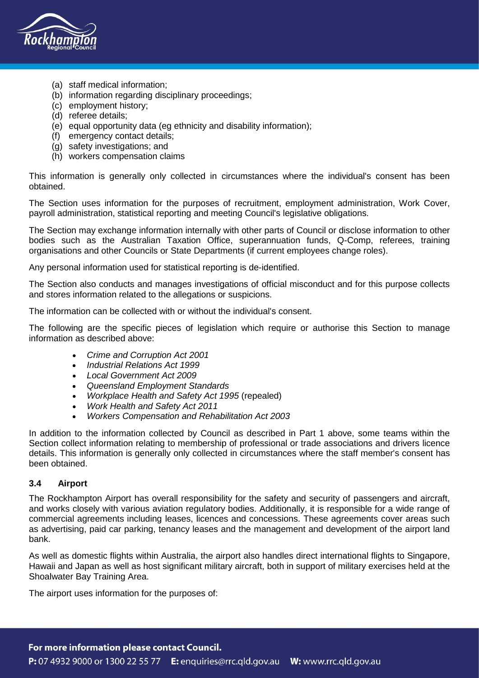

- (a) staff medical information;
- (b) information regarding disciplinary proceedings;
- (c) employment history;
- (d) referee details;
- (e) equal opportunity data (eg ethnicity and disability information);
- (f) emergency contact details;
- (g) safety investigations; and
- (h) workers compensation claims

This information is generally only collected in circumstances where the individual's consent has been obtained.

The Section uses information for the purposes of recruitment, employment administration, Work Cover, payroll administration, statistical reporting and meeting Council's legislative obligations.

The Section may exchange information internally with other parts of Council or disclose information to other bodies such as the Australian Taxation Office, superannuation funds, Q-Comp, referees, training organisations and other Councils or State Departments (if current employees change roles).

Any personal information used for statistical reporting is de-identified.

The Section also conducts and manages investigations of official misconduct and for this purpose collects and stores information related to the allegations or suspicions.

The information can be collected with or without the individual's consent.

The following are the specific pieces of legislation which require or authorise this Section to manage information as described above:

- *Crime and Corruption Act 2001*
- *Industrial Relations Act 1999*
- *Local Government Act 2009*
- *Queensland Employment Standards*
- *Workplace Health and Safety Act 1995* (repealed)
- *Work Health and Safety Act 2011*
- *Workers Compensation and Rehabilitation Act 2003*

In addition to the information collected by Council as described in Part 1 above, some teams within the Section collect information relating to membership of professional or trade associations and drivers licence details. This information is generally only collected in circumstances where the staff member's consent has been obtained.

## **3.4 Airport**

The Rockhampton Airport has overall responsibility for the safety and security of passengers and aircraft, and works closely with various aviation regulatory bodies. Additionally, it is responsible for a wide range of commercial agreements including leases, licences and concessions. These agreements cover areas such as advertising, paid car parking, tenancy leases and the management and development of the airport land bank.

As well as domestic flights within Australia, the airport also handles direct international flights to Singapore, Hawaii and Japan as well as host significant military aircraft, both in support of military exercises held at the Shoalwater Bay Training Area.

The airport uses information for the purposes of: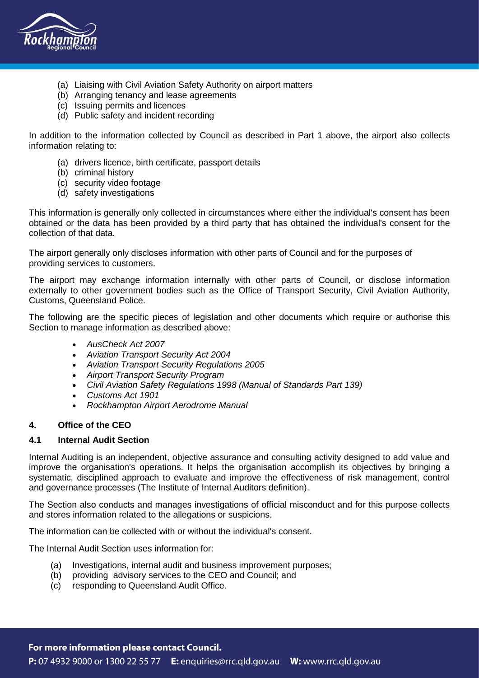

- (a) Liaising with Civil Aviation Safety Authority on airport matters
- (b) Arranging tenancy and lease agreements
- (c) Issuing permits and licences
- (d) Public safety and incident recording

In addition to the information collected by Council as described in Part 1 above, the airport also collects information relating to:

- (a) drivers licence, birth certificate, passport details
- (b) criminal history
- (c) security video footage
- (d) safety investigations

This information is generally only collected in circumstances where either the individual's consent has been obtained or the data has been provided by a third party that has obtained the individual's consent for the collection of that data.

The airport generally only discloses information with other parts of Council and for the purposes of providing services to customers.

The airport may exchange information internally with other parts of Council, or disclose information externally to other government bodies such as the Office of Transport Security, Civil Aviation Authority, Customs, Queensland Police.

The following are the specific pieces of legislation and other documents which require or authorise this Section to manage information as described above:

- *AusCheck Act 2007*
- *Aviation Transport Security Act 2004*
- *Aviation Transport Security Regulations 2005*
- *Airport Transport Security Program*
- *Civil Aviation Safety Regulations 1998 (Manual of Standards Part 139)*
- *Customs Act 1901*
- *Rockhampton Airport Aerodrome Manual*

## **4. Office of the CEO**

## **4.1 Internal Audit Section**

Internal Auditing is an independent, objective assurance and consulting activity designed to add value and improve the organisation's operations. It helps the organisation accomplish its objectives by bringing a systematic, disciplined approach to evaluate and improve the effectiveness of risk management, control and governance processes (The Institute of Internal Auditors definition).

The Section also conducts and manages investigations of official misconduct and for this purpose collects and stores information related to the allegations or suspicions.

The information can be collected with or without the individual's consent.

The Internal Audit Section uses information for:

- (a) Investigations, internal audit and business improvement purposes;
- (b) providing advisory services to the CEO and Council; and
- (c) responding to Queensland Audit Office.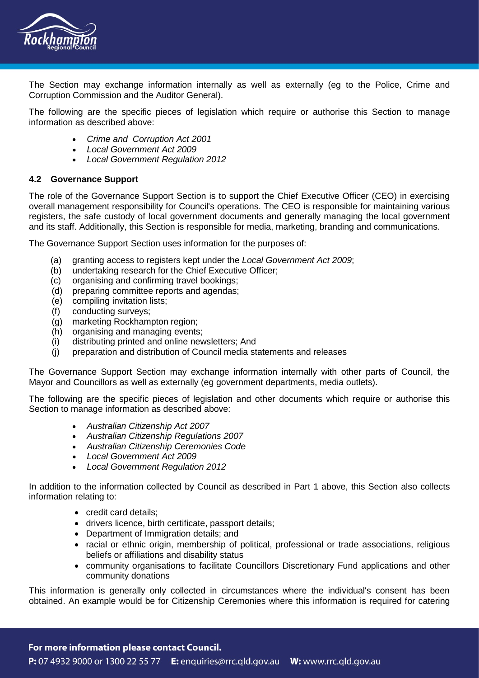

The Section may exchange information internally as well as externally (eg to the Police, Crime and Corruption Commission and the Auditor General).

The following are the specific pieces of legislation which require or authorise this Section to manage information as described above:

- *Crime and Corruption Act 2001*
- *Local Government Act 2009*
- *Local Government Regulation 2012*

### **4.2 Governance Support**

The role of the Governance Support Section is to support the Chief Executive Officer (CEO) in exercising overall management responsibility for Council's operations. The CEO is responsible for maintaining various registers, the safe custody of local government documents and generally managing the local government and its staff. Additionally, this Section is responsible for media, marketing, branding and communications.

The Governance Support Section uses information for the purposes of:

- (a) granting access to registers kept under the *Local Government Act 2009*;
- (b) undertaking research for the Chief Executive Officer;
- (c) organising and confirming travel bookings;
- (d) preparing committee reports and agendas;
- (e) compiling invitation lists;
- (f) conducting surveys;
- (g) marketing Rockhampton region;
- (h) organising and managing events;
- (i) distributing printed and online newsletters; And
- (j) preparation and distribution of Council media statements and releases

The Governance Support Section may exchange information internally with other parts of Council, the Mayor and Councillors as well as externally (eg government departments, media outlets).

The following are the specific pieces of legislation and other documents which require or authorise this Section to manage information as described above:

- *Australian Citizenship Act 2007*
- *Australian Citizenship Regulations 2007*
- *Australian Citizenship Ceremonies Code*
- *Local Government Act 2009*
- *Local Government Regulation 2012*

In addition to the information collected by Council as described in Part 1 above, this Section also collects information relating to:

- credit card details;
- drivers licence, birth certificate, passport details;
- Department of Immigration details; and
- racial or ethnic origin, membership of political, professional or trade associations, religious beliefs or affiliations and disability status
- community organisations to facilitate Councillors Discretionary Fund applications and other community donations

This information is generally only collected in circumstances where the individual's consent has been obtained. An example would be for Citizenship Ceremonies where this information is required for catering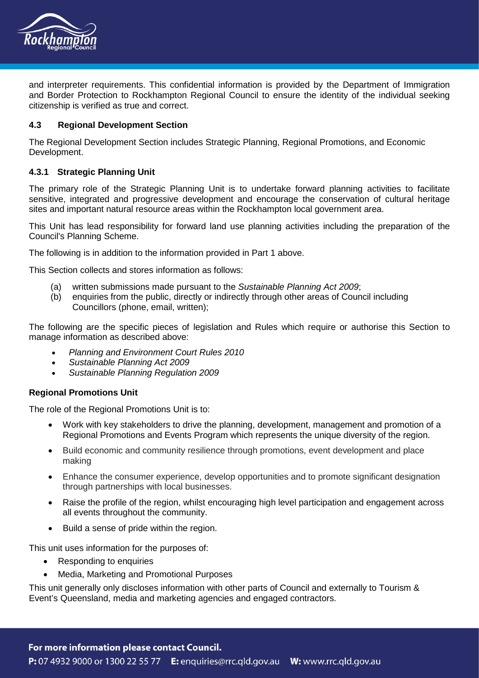

and interpreter requirements. This confidential information is provided by the Department of Immigration and Border Protection to Rockhampton Regional Council to ensure the identity of the individual seeking citizenship is verified as true and correct.

### **4.3 Regional Development Section**

The Regional Development Section includes Strategic Planning, Regional Promotions, and Economic Development.

### **4.3.1 Strategic Planning Unit**

The primary role of the Strategic Planning Unit is to undertake forward planning activities to facilitate sensitive, integrated and progressive development and encourage the conservation of cultural heritage sites and important natural resource areas within the Rockhampton local government area.

This Unit has lead responsibility for forward land use planning activities including the preparation of the Council's Planning Scheme.

The following is in addition to the information provided in Part 1 above.

This Section collects and stores information as follows:

- (a) written submissions made pursuant to the *Sustainable Planning Act 2009*;
- (b) enquiries from the public, directly or indirectly through other areas of Council including Councillors (phone, email, written);

The following are the specific pieces of legislation and Rules which require or authorise this Section to manage information as described above:

- *Planning and Environment Court Rules 2010*
- *Sustainable Planning Act 2009*
- *Sustainable Planning Regulation 2009*

#### **Regional Promotions Unit**

The role of the Regional Promotions Unit is to:

- Work with key stakeholders to drive the planning, development, management and promotion of a Regional Promotions and Events Program which represents the unique diversity of the region.
- Build economic and community resilience through promotions, event development and place making
- Enhance the consumer experience, develop opportunities and to promote significant designation through partnerships with local businesses.
- Raise the profile of the region, whilst encouraging high level participation and engagement across all events throughout the community.
- Build a sense of pride within the region.

This unit uses information for the purposes of:

- Responding to enquiries
- Media, Marketing and Promotional Purposes

This unit generally only discloses information with other parts of Council and externally to Tourism & Event's Queensland, media and marketing agencies and engaged contractors.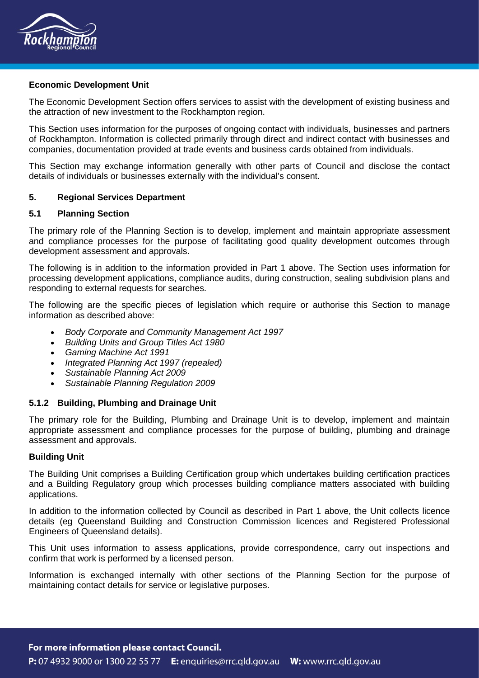

### **Economic Development Unit**

The Economic Development Section offers services to assist with the development of existing business and the attraction of new investment to the Rockhampton region.

This Section uses information for the purposes of ongoing contact with individuals, businesses and partners of Rockhampton. Information is collected primarily through direct and indirect contact with businesses and companies, documentation provided at trade events and business cards obtained from individuals.

This Section may exchange information generally with other parts of Council and disclose the contact details of individuals or businesses externally with the individual's consent.

### **5. Regional Services Department**

### **5.1 Planning Section**

The primary role of the Planning Section is to develop, implement and maintain appropriate assessment and compliance processes for the purpose of facilitating good quality development outcomes through development assessment and approvals.

The following is in addition to the information provided in Part 1 above. The Section uses information for processing development applications, compliance audits, during construction, sealing subdivision plans and responding to external requests for searches.

The following are the specific pieces of legislation which require or authorise this Section to manage information as described above:

- *Body Corporate and Community Management Act 1997*
- *Building Units and Group Titles Act 1980*
- *Gaming Machine Act 1991*
- *Integrated Planning Act 1997 (repealed)*
- *Sustainable Planning Act 2009*
- *Sustainable Planning Regulation 2009*

## **5.1.2 Building, Plumbing and Drainage Unit**

The primary role for the Building, Plumbing and Drainage Unit is to develop, implement and maintain appropriate assessment and compliance processes for the purpose of building, plumbing and drainage assessment and approvals.

#### **Building Unit**

The Building Unit comprises a Building Certification group which undertakes building certification practices and a Building Regulatory group which processes building compliance matters associated with building applications.

In addition to the information collected by Council as described in Part 1 above, the Unit collects licence details (eg Queensland Building and Construction Commission licences and Registered Professional Engineers of Queensland details).

This Unit uses information to assess applications, provide correspondence, carry out inspections and confirm that work is performed by a licensed person.

Information is exchanged internally with other sections of the Planning Section for the purpose of maintaining contact details for service or legislative purposes.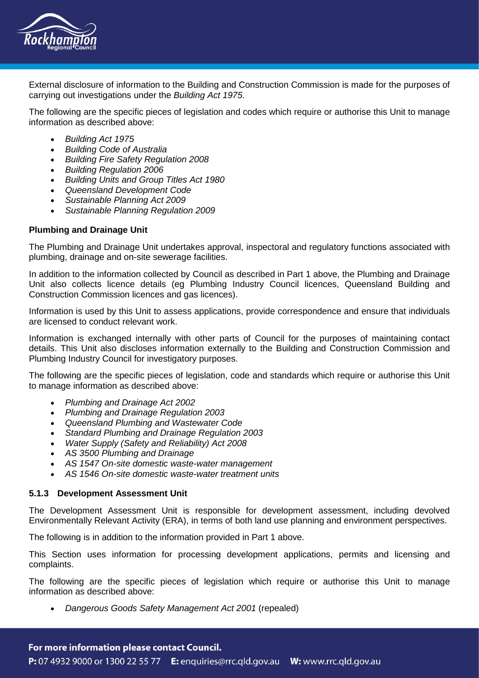

External disclosure of information to the Building and Construction Commission is made for the purposes of carrying out investigations under the *Building Act 1975*.

The following are the specific pieces of legislation and codes which require or authorise this Unit to manage information as described above:

- *Building Act 1975*
- *Building Code of Australia*
- *Building Fire Safety Regulation 2008*
- *Building Regulation 2006*
- *Building Units and Group Titles Act 1980*
- *Queensland Development Code*
- *Sustainable Planning Act 2009*
- *Sustainable Planning Regulation 2009*

### **Plumbing and Drainage Unit**

The Plumbing and Drainage Unit undertakes approval, inspectoral and regulatory functions associated with plumbing, drainage and on-site sewerage facilities.

In addition to the information collected by Council as described in Part 1 above, the Plumbing and Drainage Unit also collects licence details (eg Plumbing Industry Council licences, Queensland Building and Construction Commission licences and gas licences).

Information is used by this Unit to assess applications, provide correspondence and ensure that individuals are licensed to conduct relevant work.

Information is exchanged internally with other parts of Council for the purposes of maintaining contact details. This Unit also discloses information externally to the Building and Construction Commission and Plumbing Industry Council for investigatory purposes.

The following are the specific pieces of legislation, code and standards which require or authorise this Unit to manage information as described above:

- *Plumbing and Drainage Act 2002*
- *Plumbing and Drainage Regulation 2003*
- *Queensland Plumbing and Wastewater Code*
- *Standard Plumbing and Drainage Regulation 2003*
- *Water Supply (Safety and Reliability) Act 2008*
- *AS 3500 Plumbing and Drainage*
- *AS 1547 On-site domestic waste-water management*
- *AS 1546 On-site domestic waste-water treatment units*

#### **5.1.3 Development Assessment Unit**

The Development Assessment Unit is responsible for development assessment, including devolved Environmentally Relevant Activity (ERA), in terms of both land use planning and environment perspectives.

The following is in addition to the information provided in Part 1 above.

This Section uses information for processing development applications, permits and licensing and complaints.

The following are the specific pieces of legislation which require or authorise this Unit to manage information as described above:

• *Dangerous Goods Safety Management Act 2001* (repealed)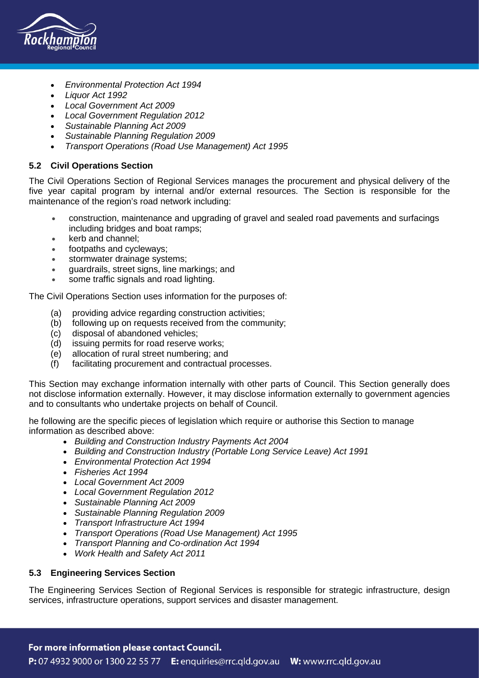

- *Environmental Protection Act 1994*
- *Liquor Act 1992*
- *Local Government Act 2009*
- *Local Government Regulation 2012*
- *Sustainable Planning Act 2009*
- *Sustainable Planning Regulation 2009*
- *Transport Operations (Road Use Management) Act 1995*

### **5.2 Civil Operations Section**

The Civil Operations Section of Regional Services manages the procurement and physical delivery of the five year capital program by internal and/or external resources. The Section is responsible for the maintenance of the region's road network including:

- construction, maintenance and upgrading of gravel and sealed road pavements and surfacings including bridges and boat ramps;
- kerb and channel:
- footpaths and cycleways;
- stormwater drainage systems;
- guardrails, street signs, line markings; and
- some traffic signals and road lighting.

The Civil Operations Section uses information for the purposes of:

- (a) providing advice regarding construction activities;
- (b) following up on requests received from the community;
- (c) disposal of abandoned vehicles;
- (d) issuing permits for road reserve works;
- (e) allocation of rural street numbering; and
- (f) facilitating procurement and contractual processes.

This Section may exchange information internally with other parts of Council. This Section generally does not disclose information externally. However, it may disclose information externally to government agencies and to consultants who undertake projects on behalf of Council.

he following are the specific pieces of legislation which require or authorise this Section to manage information as described above:

- *Building and Construction Industry Payments Act 2004*
- *Building and Construction Industry (Portable Long Service Leave) Act 1991*
- *Environmental Protection Act 1994*
- *Fisheries Act 1994*
- *Local Government Act 2009*
- *Local Government Regulation 2012*
- *Sustainable Planning Act 2009*
- *Sustainable Planning Regulation 2009*
- *Transport Infrastructure Act 1994*
- *Transport Operations (Road Use Management) Act 1995*
- *Transport Planning and Co-ordination Act 1994*
- *Work Health and Safety Act 2011*

## **5.3 Engineering Services Section**

The Engineering Services Section of Regional Services is responsible for strategic infrastructure, design services, infrastructure operations, support services and disaster management.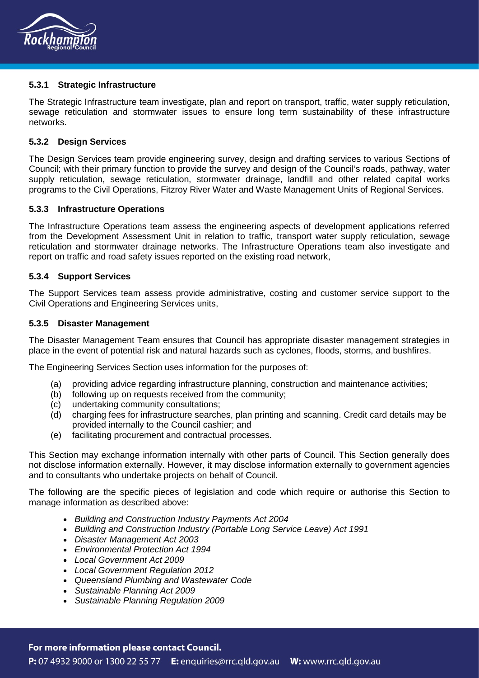

### **5.3.1 Strategic Infrastructure**

The Strategic Infrastructure team investigate, plan and report on transport, traffic, water supply reticulation, sewage reticulation and stormwater issues to ensure long term sustainability of these infrastructure networks.

### **5.3.2 Design Services**

The Design Services team provide engineering survey, design and drafting services to various Sections of Council; with their primary function to provide the survey and design of the Council's roads, pathway, water supply reticulation, sewage reticulation, stormwater drainage, landfill and other related capital works programs to the Civil Operations, Fitzroy River Water and Waste Management Units of Regional Services.

#### **5.3.3 Infrastructure Operations**

The Infrastructure Operations team assess the engineering aspects of development applications referred from the Development Assessment Unit in relation to traffic, transport water supply reticulation, sewage reticulation and stormwater drainage networks. The Infrastructure Operations team also investigate and report on traffic and road safety issues reported on the existing road network,

### **5.3.4 Support Services**

The Support Services team assess provide administrative, costing and customer service support to the Civil Operations and Engineering Services units,

#### **5.3.5 Disaster Management**

The Disaster Management Team ensures that Council has appropriate disaster management strategies in place in the event of potential risk and natural hazards such as cyclones, floods, storms, and bushfires.

The Engineering Services Section uses information for the purposes of:

- (a) providing advice regarding infrastructure planning, construction and maintenance activities;
- (b) following up on requests received from the community;
- (c) undertaking community consultations;
- (d) charging fees for infrastructure searches, plan printing and scanning. Credit card details may be provided internally to the Council cashier; and
- (e) facilitating procurement and contractual processes.

This Section may exchange information internally with other parts of Council. This Section generally does not disclose information externally. However, it may disclose information externally to government agencies and to consultants who undertake projects on behalf of Council.

The following are the specific pieces of legislation and code which require or authorise this Section to manage information as described above:

- *Building and Construction Industry Payments Act 2004*
- *Building and Construction Industry (Portable Long Service Leave) Act 1991*
- *Disaster Management Act 2003*
- *Environmental Protection Act 1994*
- *Local Government Act 2009*
- *Local Government Regulation 2012*
- *Queensland Plumbing and Wastewater Code*
- *Sustainable Planning Act 2009*
- *Sustainable Planning Regulation 2009*

#### For more information please contact Council.

P: 07 4932 9000 or 1300 22 55 77 E: enquiries@rrc.qld.gov.au W: www.rrc.qld.gov.au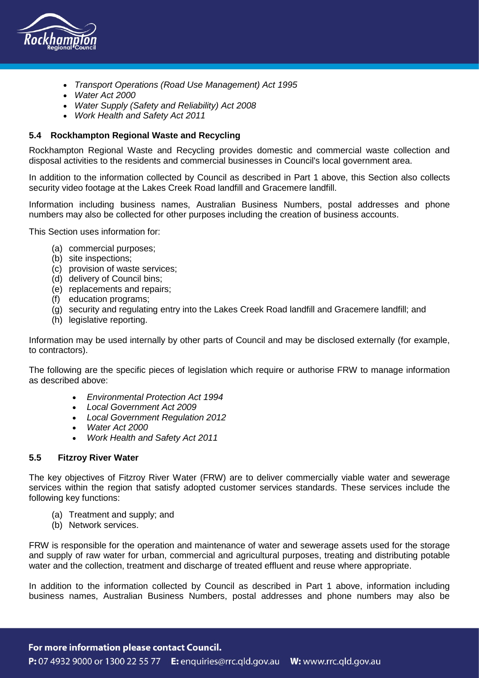

- *Transport Operations (Road Use Management) Act 1995*
- *Water Act 2000*
- *Water Supply (Safety and Reliability) Act 2008*
- *Work Health and Safety Act 2011*

## **5.4 Rockhampton Regional Waste and Recycling**

Rockhampton Regional Waste and Recycling provides domestic and commercial waste collection and disposal activities to the residents and commercial businesses in Council's local government area.

In addition to the information collected by Council as described in Part 1 above, this Section also collects security video footage at the Lakes Creek Road landfill and Gracemere landfill.

Information including business names, Australian Business Numbers, postal addresses and phone numbers may also be collected for other purposes including the creation of business accounts.

This Section uses information for:

- (a) commercial purposes;
- (b) site inspections;
- (c) provision of waste services;
- (d) delivery of Council bins;
- (e) replacements and repairs;
- (f) education programs;
- (g) security and regulating entry into the Lakes Creek Road landfill and Gracemere landfill; and
- (h) legislative reporting.

Information may be used internally by other parts of Council and may be disclosed externally (for example, to contractors).

The following are the specific pieces of legislation which require or authorise FRW to manage information as described above:

- *Environmental Protection Act 1994*
- *Local Government Act 2009*
- *Local Government Regulation 2012*
- *Water Act 2000*
- *Work Health and Safety Act 2011*

### **5.5 Fitzroy River Water**

The key objectives of Fitzroy River Water (FRW) are to deliver commercially viable water and sewerage services within the region that satisfy adopted customer services standards. These services include the following key functions:

- (a) Treatment and supply; and
- (b) Network services.

FRW is responsible for the operation and maintenance of water and sewerage assets used for the storage and supply of raw water for urban, commercial and agricultural purposes, treating and distributing potable water and the collection, treatment and discharge of treated effluent and reuse where appropriate.

In addition to the information collected by Council as described in Part 1 above, information including business names, Australian Business Numbers, postal addresses and phone numbers may also be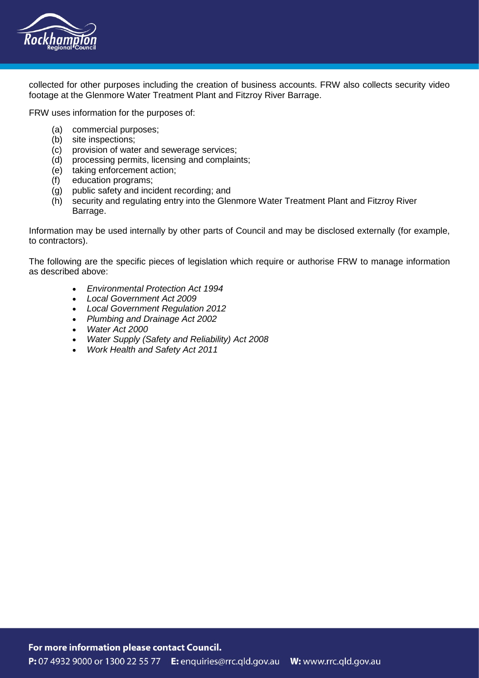

collected for other purposes including the creation of business accounts. FRW also collects security video footage at the Glenmore Water Treatment Plant and Fitzroy River Barrage.

FRW uses information for the purposes of:

- (a) commercial purposes;
- (b) site inspections;
- (c) provision of water and sewerage services;
- (d) processing permits, licensing and complaints;
- (e) taking enforcement action;
- (f) education programs;
- (g) public safety and incident recording; and
- (h) security and regulating entry into the Glenmore Water Treatment Plant and Fitzroy River Barrage.

Information may be used internally by other parts of Council and may be disclosed externally (for example, to contractors).

The following are the specific pieces of legislation which require or authorise FRW to manage information as described above:

- *Environmental Protection Act 1994*
- *Local Government Act 2009*
- *Local Government Regulation 2012*
- *Plumbing and Drainage Act 2002*
- *Water Act 2000*
- *Water Supply (Safety and Reliability) Act 2008*
- *Work Health and Safety Act 2011*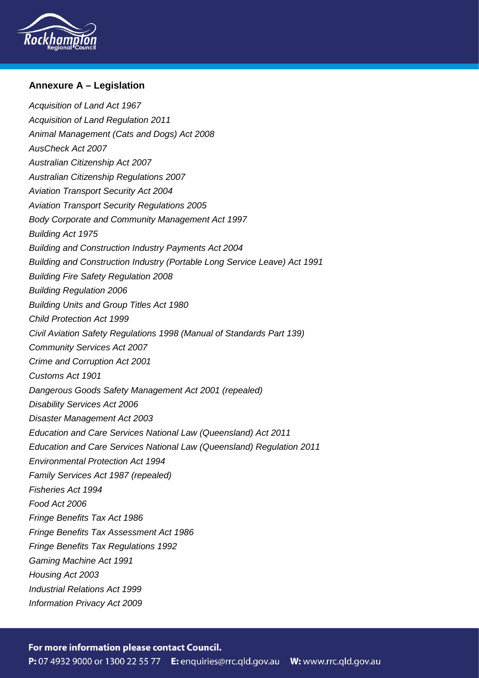

# **Annexure A – Legislation**

*Acquisition of Land Act 1967 Acquisition of Land Regulation 2011 Animal Management (Cats and Dogs) Act 2008 AusCheck Act 2007 Australian Citizenship Act 2007 Australian Citizenship Regulations 2007 Aviation Transport Security Act 2004 Aviation Transport Security Regulations 2005 Body Corporate and Community Management Act 1997 Building Act 1975 Building and Construction Industry Payments Act 2004 Building and Construction Industry (Portable Long Service Leave) Act 1991 Building Fire Safety Regulation 2008 Building Regulation 2006 Building Units and Group Titles Act 1980 Child Protection Act 1999 Civil Aviation Safety Regulations 1998 (Manual of Standards Part 139) Community Services Act 2007 Crime and Corruption Act 2001 Customs Act 1901 Dangerous Goods Safety Management Act 2001 (repealed) Disability Services Act 2006 Disaster Management Act 2003 Education and Care Services National Law (Queensland) Act 2011 Education and Care Services National Law (Queensland) Regulation 2011 Environmental Protection Act 1994 Family Services Act 1987 (repealed) Fisheries Act 1994 Food Act 2006 Fringe Benefits Tax Act 1986 Fringe Benefits Tax Assessment Act 1986 Fringe Benefits Tax Regulations 1992 Gaming Machine Act 1991 Housing Act 2003 Industrial Relations Act 1999 Information Privacy Act 2009*